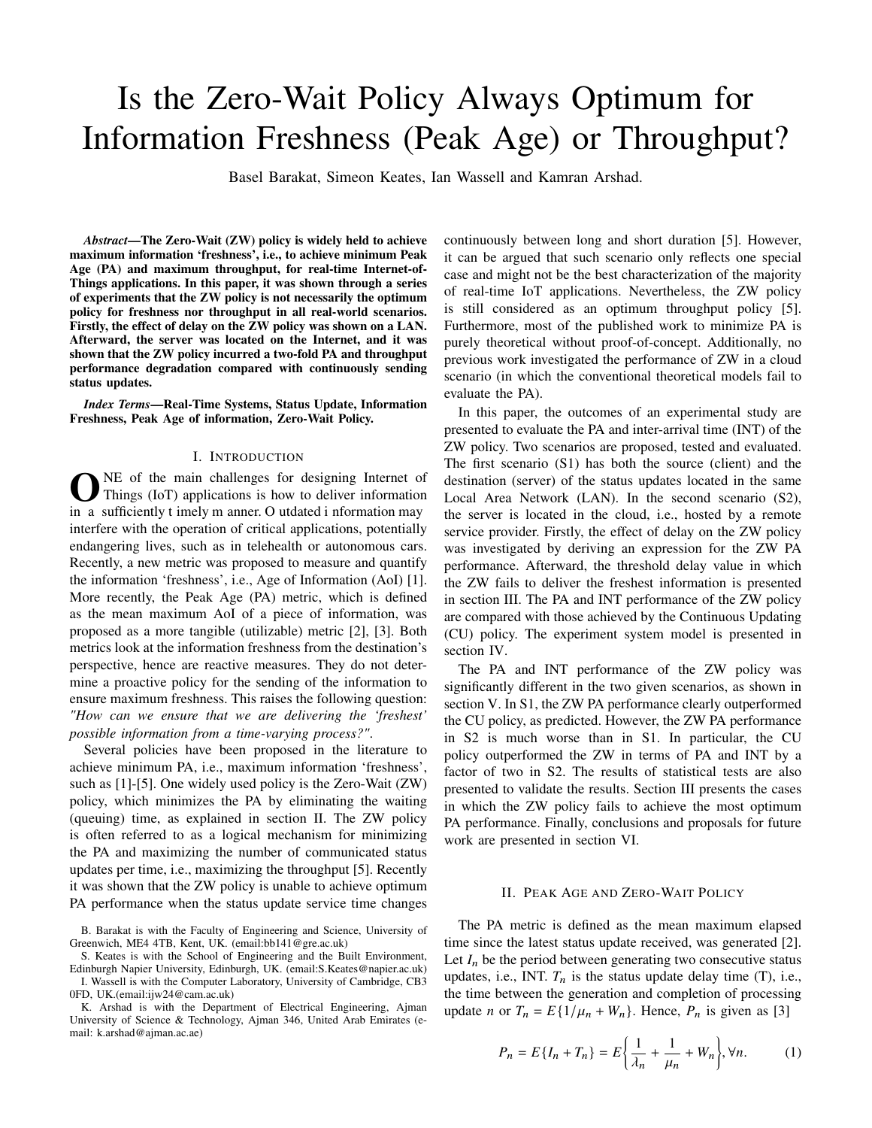# Is the Zero-Wait Policy Always Optimum for Information Freshness (Peak Age) or Throughput?

Basel Barakat, Simeon Keates, Ian Wassell and Kamran Arshad.

*Abstract*—The Zero-Wait (ZW) policy is widely held to achieve maximum information 'freshness', i.e., to achieve minimum Peak Age (PA) and maximum throughput, for real-time Internet-of-Things applications. In this paper, it was shown through a series of experiments that the ZW policy is not necessarily the optimum policy for freshness nor throughput in all real-world scenarios. Firstly, the effect of delay on the ZW policy was shown on a LAN. Afterward, the server was located on the Internet, and it was shown that the ZW policy incurred a two-fold PA and throughput performance degradation compared with continuously sending status updates.

*Index Terms*—Real-Time Systems, Status Update, Information Freshness, Peak Age of information, Zero-Wait Policy.

#### I. INTRODUCTION

**O**NE of the main challenges for designing Internet of Things (IoT) applications is how to deliver information in a sufficiently t imely m anner. O utdated i nformation may NE of the main challenges for designing Internet of Things (IoT) applications is how to deliver information interfere with the operation of critical applications, potentially endangering lives, such as in telehealth or autonomous cars. Recently, a new metric was proposed to measure and quantify the information 'freshness', i.e., Age of Information (AoI) [1]. More recently, the Peak Age (PA) metric, which is defined as the mean maximum AoI of a piece of information, was proposed as a more tangible (utilizable) metric [2], [3]. Both metrics look at the information freshness from the destination's perspective, hence are reactive measures. They do not determine a proactive policy for the sending of the information to ensure maximum freshness. This raises the following question: *"How can we ensure that we are delivering the 'freshest' possible information from a time-varying process?"*.

Several policies have been proposed in the literature to achieve minimum PA, i.e., maximum information 'freshness', such as [1]-[5]. One widely used policy is the Zero-Wait (ZW) policy, which minimizes the PA by eliminating the waiting (queuing) time, as explained in section II. The ZW policy is often referred to as a logical mechanism for minimizing the PA and maximizing the number of communicated status updates per time, i.e., maximizing the throughput [5]. Recently it was shown that the ZW policy is unable to achieve optimum PA performance when the status update service time changes

B. Barakat is with the Faculty of Engineering and Science, University of Greenwich, ME4 4TB, Kent, UK. (email:bb141@gre.ac.uk)

S. Keates is with the School of Engineering and the Built Environment, Edinburgh Napier University, Edinburgh, UK. (email:S.Keates@napier.ac.uk) I. Wassell is with the Computer Laboratory, University of Cambridge, CB3

0FD, UK.(email:ijw24@cam.ac.uk)

K. Arshad is with the Department of Electrical Engineering, Ajman University of Science & Technology, Ajman 346, United Arab Emirates (email: k.arshad@ajman.ac.ae)

continuously between long and short duration [5]. However, it can be argued that such scenario only reflects one special case and might not be the best characterization of the majority of real-time IoT applications. Nevertheless, the ZW policy is still considered as an optimum throughput policy [5]. Furthermore, most of the published work to minimize PA is purely theoretical without proof-of-concept. Additionally, no previous work investigated the performance of ZW in a cloud scenario (in which the conventional theoretical models fail to evaluate the PA).

In this paper, the outcomes of an experimental study are presented to evaluate the PA and inter-arrival time (INT) of the ZW policy. Two scenarios are proposed, tested and evaluated. The first scenario (S1) has both the source (client) and the destination (server) of the status updates located in the same Local Area Network (LAN). In the second scenario (S2), the server is located in the cloud, i.e., hosted by a remote service provider. Firstly, the effect of delay on the ZW policy was investigated by deriving an expression for the ZW PA performance. Afterward, the threshold delay value in which the ZW fails to deliver the freshest information is presented in section III. The PA and INT performance of the ZW policy are compared with those achieved by the Continuous Updating (CU) policy. The experiment system model is presented in section IV.

The PA and INT performance of the ZW policy was significantly different in the two given scenarios, as shown in section V. In S1, the ZW PA performance clearly outperformed the CU policy, as predicted. However, the ZW PA performance in S2 is much worse than in S1. In particular, the CU policy outperformed the ZW in terms of PA and INT by a factor of two in S2. The results of statistical tests are also presented to validate the results. Section III presents the cases in which the ZW policy fails to achieve the most optimum PA performance. Finally, conclusions and proposals for future work are presented in section VI.

## II. PEAK AGE AND ZERO-WAIT POLICY

The PA metric is defined as the mean maximum elapsed time since the latest status update received, was generated [2]. Let  $I_n$  be the period between generating two consecutive status updates, i.e., INT.  $T_n$  is the status update delay time (T), i.e., the time between the generation and completion of processing update *n* or  $T_n = E\{1/\mu_n + W_n\}$ . Hence,  $P_n$  is given as [3]

$$
P_n = E\{I_n + T_n\} = E\left\{\frac{1}{\lambda_n} + \frac{1}{\mu_n} + W_n\right\}, \forall n. \tag{1}
$$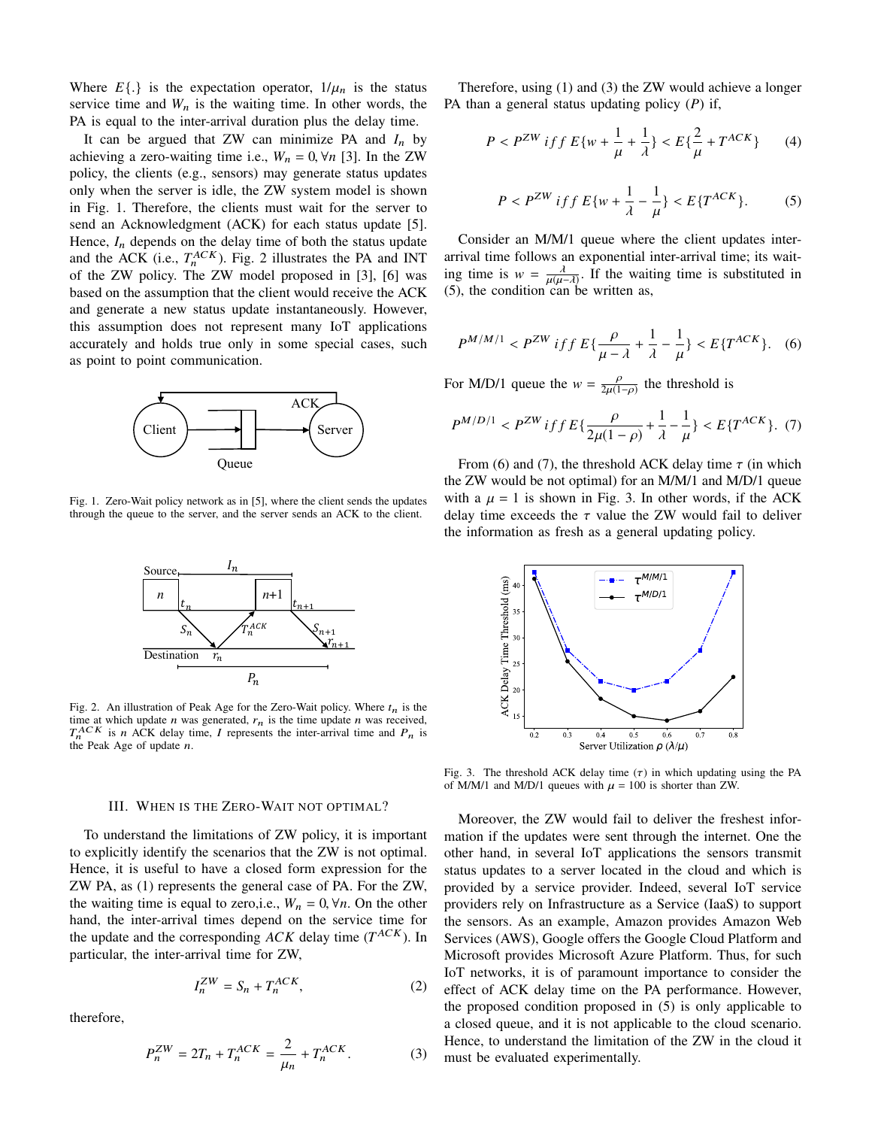Where  $E\{\cdot\}$  is the expectation operator,  $1/\mu_n$  is the status service time and  $W_n$  is the waiting time. In other words, the PA is equal to the inter-arrival duration plus the delay time.

It can be argued that ZW can minimize PA and  $I_n$  by achieving a zero-waiting time i.e.,  $W_n = 0$ ,  $\forall n$  [3]. In the ZW policy, the clients (e.g., sensors) may generate status updates only when the server is idle, the ZW system model is shown in Fig. 1. Therefore, the clients must wait for the server to send an Acknowledgment (ACK) for each status update [5]. Hence,  $I_n$  depends on the delay time of both the status update and the ACK (i.e.,  $T_n^{ACK}$ ). Fig. 2 illustrates the PA and INT of the ZW policy. The ZW model proposed in [3], [6] was based on the assumption that the client would receive the ACK and generate a new status update instantaneously. However, this assumption does not represent many IoT applications accurately and holds true only in some special cases, such as point to point communication.



Fig. 1. Zero-Wait policy network as in [5], where the client sends the updates through the queue to the server, and the server sends an ACK to the client.



Fig. 2. An illustration of Peak Age for the Zero-Wait policy. Where  $t_n$  is the time at which update  $n$  was generated,  $r_n$  is the time update  $n$  was received,  $T_n^{ACK}$  is n ACK delay time, I represents the inter-arrival time and  $P_n$  is the Peak Age of update  $n$ .

## III. WHEN IS THE ZERO-WAIT NOT OPTIMAL?

To understand the limitations of ZW policy, it is important to explicitly identify the scenarios that the ZW is not optimal. Hence, it is useful to have a closed form expression for the ZW PA, as (1) represents the general case of PA. For the ZW, the waiting time is equal to zero,i.e.,  $W_n = 0$ ,  $\forall n$ . On the other hand, the inter-arrival times depend on the service time for the update and the corresponding  $ACK$  delay time  $(T^{ACK})$ . In particular, the inter-arrival time for ZW,

$$
I_n^{ZW} = S_n + T_n^{ACK},\tag{2}
$$

therefore,

$$
P_n^{ZW} = 2T_n + T_n^{ACK} = \frac{2}{\mu_n} + T_n^{ACK}.
$$
 (3)

Therefore, using (1) and (3) the ZW would achieve a longer PA than a general status updating policy (*P*) if,

$$
P < P^{ZW} \; \text{iff} \; E\{w + \frac{1}{\mu} + \frac{1}{\lambda}\} < E\{\frac{2}{\mu} + T^{ACK}\} \tag{4}
$$

$$
P < P^{ZW} \; \text{iff} \; E\{w + \frac{1}{\lambda} - \frac{1}{\mu}\} < E\{T^{ACK}\}.\tag{5}
$$

Consider an M/M/1 queue where the client updates interarrival time follows an exponential inter-arrival time; its waiting time is  $w = \frac{\lambda}{\mu(u-\lambda)}$ . If the waiting time is substituted in  $\lim_{\mu} \lim_{\mu} \lim_{\lambda \to 0} \lim_{\mu \to 0} \lim_{\lambda \to 0} \lim_{\lambda \to 0} \lim_{\lambda \to 0} \lim_{\lambda \to 0} \lim_{\lambda \to 0} \lim_{\lambda \to 0} \lim_{\lambda \to 0} \lim_{\lambda \to 0} \lim_{\lambda \to 0} \lim_{\lambda \to 0} \lim_{\lambda \to 0} \lim_{\lambda \to 0} \lim_{\lambda \to 0} \lim_{\lambda \to 0} \lim_{\lambda \to 0} \lim_{\lambda \to 0} \lim_{\lambda \to 0} \lim_{\lambda \to 0} \lim_{\lambda \to$ 

$$
P^{M/M/1} < P^{ZW} \; \text{iff} \; E\{\frac{\rho}{\mu - \lambda} + \frac{1}{\lambda} - \frac{1}{\mu}\} < E\{T^{ACK}\}. \tag{6}
$$

For M/D/1 queue the  $w = \frac{p}{2\mu(1-\rho)}$  the threshold is

$$
P^{M/D/1} < P^{ZW} \, if \, f \, E\{ \frac{\rho}{2\mu(1-\rho)} + \frac{1}{\lambda} - \frac{1}{\mu} \} < E\{ T^{ACK} \}. \tag{7}
$$

From (6) and (7), the threshold ACK delay time  $\tau$  (in which the ZW would be not optimal) for an M/M/1 and M/D/1 queue with a  $\mu = 1$  is shown in Fig. 3. In other words, if the ACK delay time exceeds the  $\tau$  value the ZW would fail to deliver the information as fresh as a general updating policy.



Fig. 3. The threshold ACK delay time  $(\tau)$  in which updating using the PA of M/M/1 and M/D/1 queues with  $\mu = 100$  is shorter than ZW.

Moreover, the ZW would fail to deliver the freshest information if the updates were sent through the internet. One the other hand, in several IoT applications the sensors transmit status updates to a server located in the cloud and which is provided by a service provider. Indeed, several IoT service providers rely on Infrastructure as a Service (IaaS) to support the sensors. As an example, Amazon provides Amazon Web Services (AWS), Google offers the Google Cloud Platform and Microsoft provides Microsoft Azure Platform. Thus, for such IoT networks, it is of paramount importance to consider the effect of ACK delay time on the PA performance. However, the proposed condition proposed in (5) is only applicable to a closed queue, and it is not applicable to the cloud scenario. Hence, to understand the limitation of the ZW in the cloud it must be evaluated experimentally.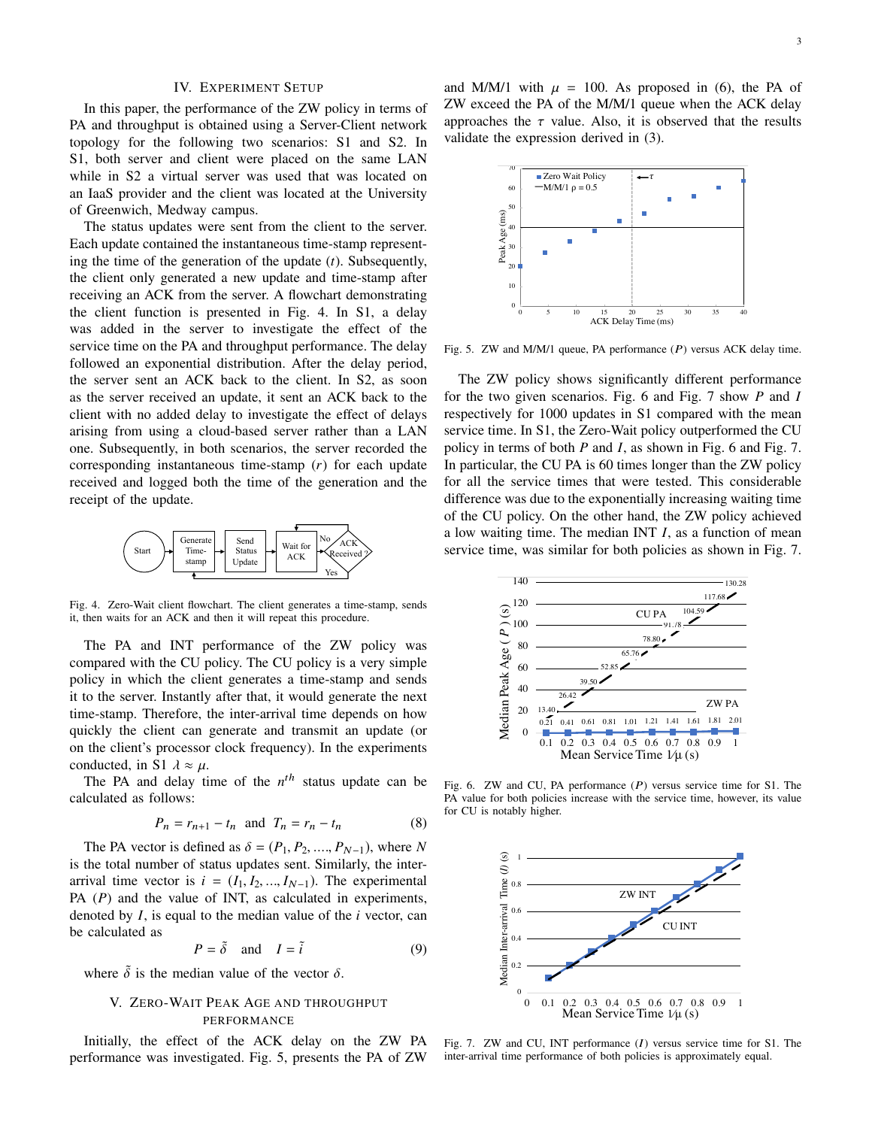## IV. EXPERIMENT SETUP

In this paper, the performance of the ZW policy in terms of PA and throughput is obtained using a Server-Client network topology for the following two scenarios: S1 and S2. In S1, both server and client were placed on the same LAN while in S2 a virtual server was used that was located on an IaaS provider and the client was located at the University of Greenwich, Medway campus.

The status updates were sent from the client to the server. Each update contained the instantaneous time-stamp representing the time of the generation of the update (*t*). Subsequently, the client only generated a new update and time-stamp after receiving an ACK from the server. A flowchart demonstrating the client function is presented in Fig. 4. In S1, a delay was added in the server to investigate the effect of the service time on the PA and throughput performance. The delay followed an exponential distribution. After the delay period, the server sent an ACK back to the client. In S2, as soon as the server received an update, it sent an ACK back to the client with no added delay to investigate the effect of delays arising from using a cloud-based server rather than a LAN one. Subsequently, in both scenarios, the server recorded the corresponding instantaneous time-stamp (*r*) for each update received and logged both the time of the generation and the receipt of the update.



Fig. 4. Zero-Wait client flowchart. The client generates a time-stamp, sends it, then waits for an ACK and then it will repeat this procedure.

The PA and INT performance of the ZW policy was compared with the CU policy. The CU policy is a very simple policy in which the client generates a time-stamp and sends it to the server. Instantly after that, it would generate the next time-stamp. Therefore, the inter-arrival time depends on how quickly the client can generate and transmit an update (or on the client's processor clock frequency). In the experiments conducted, in S1  $\lambda \approx \mu$ .

The PA and delay time of the  $n<sup>th</sup>$  status update can be calculated as follows:

$$
P_n = r_{n+1} - t_n \quad \text{and} \quad T_n = r_n - t_n \tag{8}
$$

The PA vector is defined as  $\delta = (P_1, P_2, \dots, P_{N-1})$ , where *N* is the total number of status updates sent. Similarly, the interarrival time vector is  $i = (I_1, I_2, ..., I_{N-1})$ . The experimental PA (*P*) and the value of INT, as calculated in experiments, denoted by *I*, is equal to the median value of the *i* vector, can be calculated as

$$
P = \tilde{\delta} \quad \text{and} \quad I = \tilde{i} \tag{9}
$$

where  $\delta$  is the median value of the vector  $\delta$ .

# V. ZERO-WAIT PEAK AGE AND THROUGHPUT PERFORMANCE

Initially, the effect of the ACK delay on the ZW PA performance was investigated. Fig. 5, presents the PA of ZW

and M/M/1 with  $\mu = 100$ . As proposed in (6), the PA of ZW exceed the PA of the M/M/1 queue when the ACK delay approaches the  $\tau$  value. Also, it is observed that the results validate the expression derived in (3).



Fig. 5. ZW and M/M/1 queue, PA performance  $(P)$  versus ACK delay time.

The ZW policy shows significantly different performance for the two given scenarios. Fig. 6 and Fig. 7 show *P* and *I* respectively for 1000 updates in S1 compared with the mean service time. In S1, the Zero-Wait policy outperformed the CU policy in terms of both *P* and *I*, as shown in Fig. 6 and Fig. 7. In particular, the CU PA is 60 times longer than the ZW policy for all the service times that were tested. This considerable difference was due to the exponentially increasing waiting time of the CU policy. On the other hand, the ZW policy achieved a low waiting time. The median INT *I*, as a function of mean service time, was similar for both policies as shown in Fig. 7.



Fig. 6. ZW and CU, PA performance  $(P)$  versus service time for S1. The PA value for both policies increase with the service time, however, its value for CU is notably higher.



Fig. 7. ZW and CU, INT performance  $(I)$  versus service time for S1. The inter-arrival time performance of both policies is approximately equal.